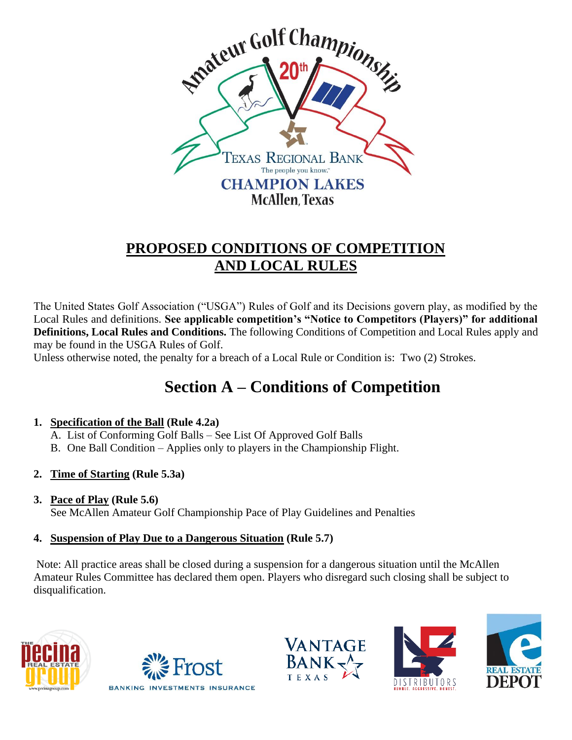

## **PROPOSED CONDITIONS OF COMPETITION AND LOCAL RULES**

The United States Golf Association ("USGA") Rules of Golf and its Decisions govern play, as modified by the Local Rules and definitions. **See applicable competition's "Notice to Competitors (Players)" for additional Definitions, Local Rules and Conditions.** The following Conditions of Competition and Local Rules apply and may be found in the USGA Rules of Golf.

Unless otherwise noted, the penalty for a breach of a Local Rule or Condition is: Two (2) Strokes.

# **Section A – Conditions of Competition**

### **1. Specification of the Ball (Rule 4.2a)**

- A. List of Conforming Golf Balls See List Of Approved Golf Balls
- B. One Ball Condition Applies only to players in the Championship Flight.
- **2. Time of Starting (Rule 5.3a)**
- **3. Pace of Play (Rule 5.6)** See McAllen Amateur Golf Championship Pace of Play Guidelines and Penalties

### **4. Suspension of Play Due to a Dangerous Situation (Rule 5.7)**

 Note: All practice areas shall be closed during a suspension for a dangerous situation until the McAllen Amateur Rules Committee has declared them open. Players who disregard such closing shall be subject to disqualification.









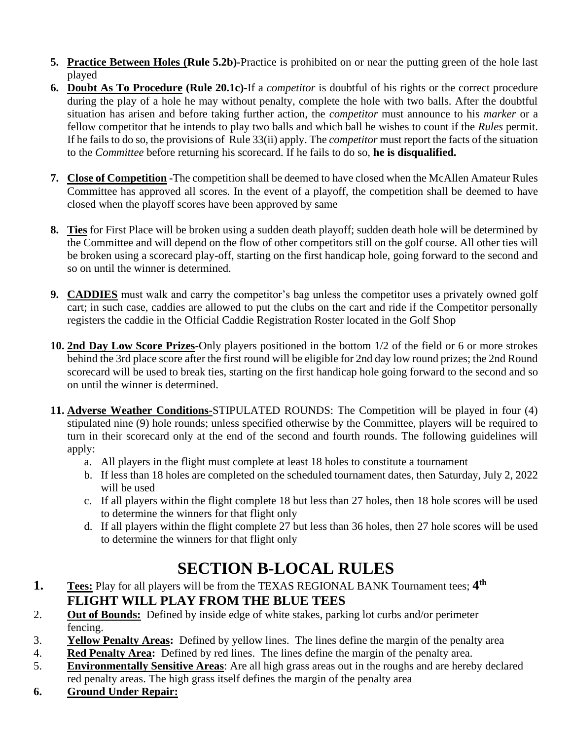- **5. Practice Between Holes (Rule 5.2b)-**Practice is prohibited on or near the putting green of the hole last played
- **6. Doubt As To Procedure (Rule 20.1c)-**If a *competitor* is doubtful of his rights or the correct procedure during the play of a hole he may without penalty, complete the hole with two balls. After the doubtful situation has arisen and before taking further action, the *competitor* must announce to his *marker* or a fellow competitor that he intends to play two balls and which ball he wishes to count if the *Rules* permit. If he fails to do so, the provisions of Rule 33(ii) apply. The *competitor* must report the facts of the situation to the *Committee* before returning his scorecard. If he fails to do so, **he is disqualified.**
- **7. Close of Competition -**The competition shall be deemed to have closed when the McAllen Amateur Rules Committee has approved all scores. In the event of a playoff, the competition shall be deemed to have closed when the playoff scores have been approved by same
- **8. Ties** for First Place will be broken using a sudden death playoff; sudden death hole will be determined by the Committee and will depend on the flow of other competitors still on the golf course. All other ties will be broken using a scorecard play-off, starting on the first handicap hole, going forward to the second and so on until the winner is determined.
- **9. CADDIES** must walk and carry the competitor's bag unless the competitor uses a privately owned golf cart; in such case, caddies are allowed to put the clubs on the cart and ride if the Competitor personally registers the caddie in the Official Caddie Registration Roster located in the Golf Shop
- **10. 2nd Day Low Score Prizes**-Only players positioned in the bottom 1/2 of the field or 6 or more strokes behind the 3rd place score after the first round will be eligible for 2nd day low round prizes; the 2nd Round scorecard will be used to break ties, starting on the first handicap hole going forward to the second and so on until the winner is determined.
- **11. Adverse Weather Conditions-**STIPULATED ROUNDS: The Competition will be played in four (4) stipulated nine (9) hole rounds; unless specified otherwise by the Committee, players will be required to turn in their scorecard only at the end of the second and fourth rounds. The following guidelines will apply:
	- a. All players in the flight must complete at least 18 holes to constitute a tournament
	- b. If less than 18 holes are completed on the scheduled tournament dates, then Saturday, July 2, 2022 will be used
	- c. If all players within the flight complete 18 but less than 27 holes, then 18 hole scores will be used to determine the winners for that flight only
	- d. If all players within the flight complete 27 but less than 36 holes, then 27 hole scores will be used to determine the winners for that flight only

# **SECTION B-LOCAL RULES**

- **1. Tees:** Play for all players will be from the TEXAS REGIONAL BANK Tournament tees; **4 th FLIGHT WILL PLAY FROM THE BLUE TEES**
- 2. **Out of Bounds:** Defined by inside edge of white stakes, parking lot curbs and/or perimeter fencing.
- 3. **Yellow Penalty Areas:** Defined by yellow lines. The lines define the margin of the penalty area
- 4. **Red Penalty Area:** Defined by red lines. The lines define the margin of the penalty area.
- 5. **Environmentally Sensitive Areas**: Are all high grass areas out in the roughs and are hereby declared red penalty areas. The high grass itself defines the margin of the penalty area
- **6. Ground Under Repair:**